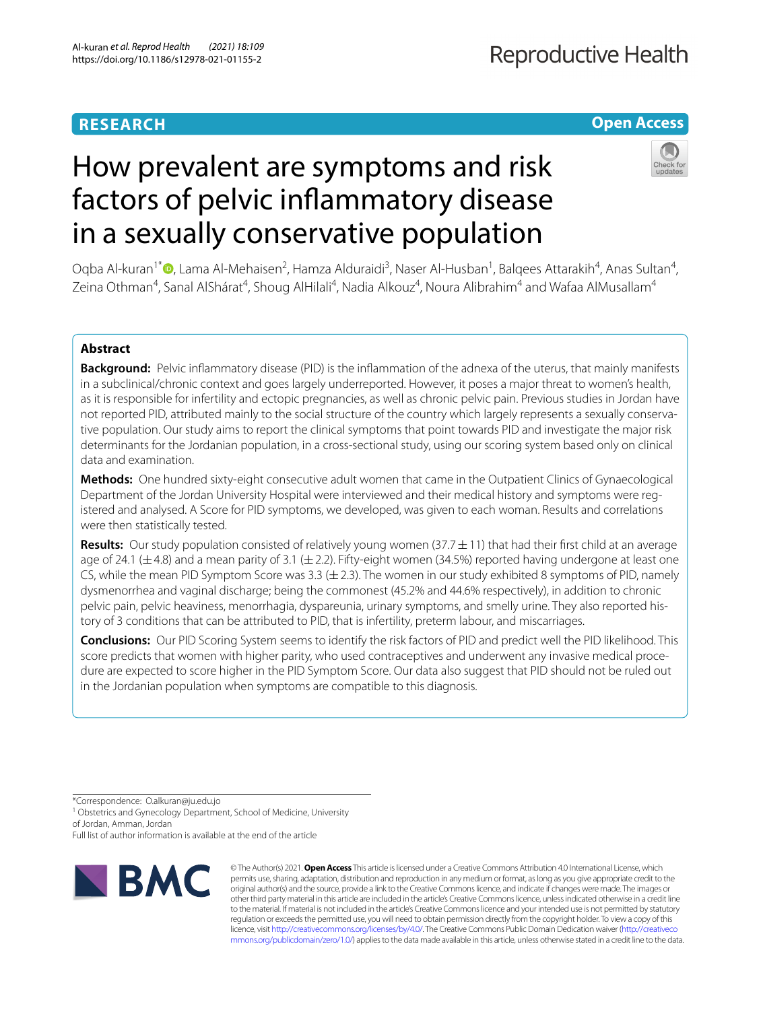# **RESEARCH**

# **Open Access**

# How prevalent are symptoms and risk factors of pelvic infammatory disease in a sexually conservative population



Oqba Al-kuran<sup>1[\\*](http://orcid.org/0000-0003-3049-3806)</sup> (**D**, Lama Al-Mehaisen<sup>2</sup>, Hamza Alduraidi<sup>3</sup>, Naser Al-Husban<sup>1</sup>, Balqees Attarakih<sup>4</sup>, Anas Sultan<sup>4</sup>, Zeina Othman<sup>4</sup>, Sanal AlShárat<sup>4</sup>, Shoug AlHilali<sup>4</sup>, Nadia Alkouz<sup>4</sup>, Noura Alibrahim<sup>4</sup> and Wafaa AlMusallam<sup>4</sup>

# **Abstract**

**Background:** Pelvic infammatory disease (PID) is the infammation of the adnexa of the uterus, that mainly manifests in a subclinical/chronic context and goes largely underreported. However, it poses a major threat to women's health, as it is responsible for infertility and ectopic pregnancies, as well as chronic pelvic pain. Previous studies in Jordan have not reported PID, attributed mainly to the social structure of the country which largely represents a sexually conservative population. Our study aims to report the clinical symptoms that point towards PID and investigate the major risk determinants for the Jordanian population, in a cross-sectional study, using our scoring system based only on clinical data and examination.

**Methods:** One hundred sixty-eight consecutive adult women that came in the Outpatient Clinics of Gynaecological Department of the Jordan University Hospital were interviewed and their medical history and symptoms were registered and analysed. A Score for PID symptoms, we developed, was given to each woman. Results and correlations were then statistically tested.

**Results:** Our study population consisted of relatively young women (37.7±11) that had their frst child at an average age of 24.1 ( $\pm$ 4.8) and a mean parity of 3.1 ( $\pm$  2.2). Fifty-eight women (34.5%) reported having undergone at least one CS, while the mean PID Symptom Score was 3.3 ( $\pm$  2.3). The women in our study exhibited 8 symptoms of PID, namely dysmenorrhea and vaginal discharge; being the commonest (45.2% and 44.6% respectively), in addition to chronic pelvic pain, pelvic heaviness, menorrhagia, dyspareunia, urinary symptoms, and smelly urine. They also reported history of 3 conditions that can be attributed to PID, that is infertility, preterm labour, and miscarriages.

**Conclusions:** Our PID Scoring System seems to identify the risk factors of PID and predict well the PID likelihood. This score predicts that women with higher parity, who used contraceptives and underwent any invasive medical procedure are expected to score higher in the PID Symptom Score. Our data also suggest that PID should not be ruled out in the Jordanian population when symptoms are compatible to this diagnosis.

\*Correspondence: O.alkuran@ju.edu.jo

<sup>1</sup> Obstetrics and Gynecology Department, School of Medicine, University of Jordan, Amman, Jordan

Full list of author information is available at the end of the article



© The Author(s) 2021. **Open Access** This article is licensed under a Creative Commons Attribution 4.0 International License, which permits use, sharing, adaptation, distribution and reproduction in any medium or format, as long as you give appropriate credit to the original author(s) and the source, provide a link to the Creative Commons licence, and indicate if changes were made. The images or other third party material in this article are included in the article's Creative Commons licence, unless indicated otherwise in a credit line to the material. If material is not included in the article's Creative Commons licence and your intended use is not permitted by statutory regulation or exceeds the permitted use, you will need to obtain permission directly from the copyright holder. To view a copy of this licence, visit [http://creativecommons.org/licenses/by/4.0/.](http://creativecommons.org/licenses/by/4.0/) The Creative Commons Public Domain Dedication waiver ([http://creativeco](http://creativecommons.org/publicdomain/zero/1.0/) [mmons.org/publicdomain/zero/1.0/](http://creativecommons.org/publicdomain/zero/1.0/)) applies to the data made available in this article, unless otherwise stated in a credit line to the data.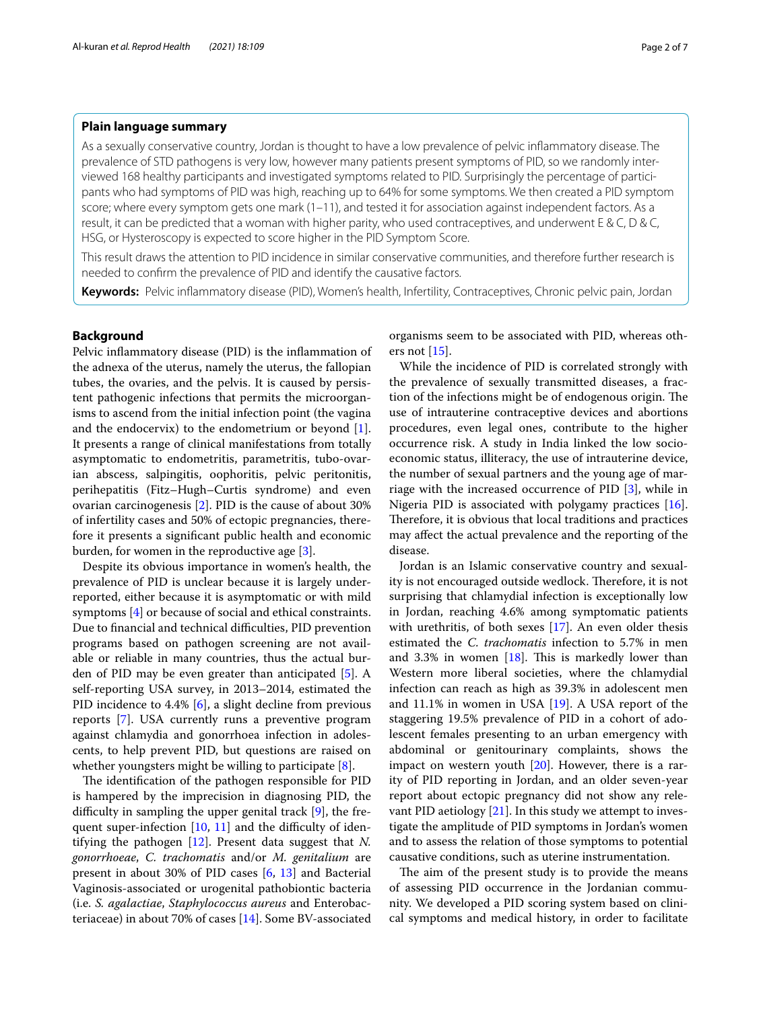# **Plain language summary**

As a sexually conservative country, Jordan is thought to have a low prevalence of pelvic infammatory disease. The prevalence of STD pathogens is very low, however many patients present symptoms of PID, so we randomly interviewed 168 healthy participants and investigated symptoms related to PID. Surprisingly the percentage of participants who had symptoms of PID was high, reaching up to 64% for some symptoms. We then created a PID symptom score; where every symptom gets one mark (1–11), and tested it for association against independent factors. As a result, it can be predicted that a woman with higher parity, who used contraceptives, and underwent E & C, D & C, HSG, or Hysteroscopy is expected to score higher in the PID Symptom Score.

This result draws the attention to PID incidence in similar conservative communities, and therefore further research is needed to confrm the prevalence of PID and identify the causative factors.

**Keywords:** Pelvic infammatory disease (PID), Women's health, Infertility, Contraceptives, Chronic pelvic pain, Jordan

# **Background**

Pelvic infammatory disease (PID) is the infammation of the adnexa of the uterus, namely the uterus, the fallopian tubes, the ovaries, and the pelvis. It is caused by persistent pathogenic infections that permits the microorganisms to ascend from the initial infection point (the vagina and the endocervix) to the endometrium or beyond [\[1](#page-5-0)]. It presents a range of clinical manifestations from totally asymptomatic to endometritis, parametritis, tubo-ovarian abscess, salpingitis, oophoritis, pelvic peritonitis, perihepatitis (Fitz–Hugh–Curtis syndrome) and even ovarian carcinogenesis [[2\]](#page-5-1). PID is the cause of about 30% of infertility cases and 50% of ectopic pregnancies, therefore it presents a signifcant public health and economic burden, for women in the reproductive age [[3\]](#page-5-2).

Despite its obvious importance in women's health, the prevalence of PID is unclear because it is largely underreported, either because it is asymptomatic or with mild symptoms [\[4](#page-5-3)] or because of social and ethical constraints. Due to financial and technical difficulties, PID prevention programs based on pathogen screening are not available or reliable in many countries, thus the actual burden of PID may be even greater than anticipated [[5\]](#page-6-0). A self-reporting USA survey, in 2013–2014, estimated the PID incidence to 4.4% [\[6](#page-6-1)], a slight decline from previous reports [\[7](#page-6-2)]. USA currently runs a preventive program against chlamydia and gonorrhoea infection in adolescents, to help prevent PID, but questions are raised on whether youngsters might be willing to participate [[8\]](#page-6-3).

The identification of the pathogen responsible for PID is hampered by the imprecision in diagnosing PID, the difficulty in sampling the upper genital track  $[9]$  $[9]$ , the frequent super-infection  $[10, 11]$  $[10, 11]$  $[10, 11]$  and the difficulty of identifying the pathogen [\[12](#page-6-7)]. Present data suggest that *N. gonorrhoeae*, *C. trachomatis* and/or *M. genitalium* are present in about 30% of PID cases [\[6](#page-6-1), [13\]](#page-6-8) and Bacterial Vaginosis-associated or urogenital pathobiontic bacteria (i.e. *S. agalactiae*, *Staphylococcus aureus* and Enterobacteriaceae) in about 70% of cases [\[14\]](#page-6-9). Some BV-associated

organisms seem to be associated with PID, whereas others not  $[15]$  $[15]$ .

While the incidence of PID is correlated strongly with the prevalence of sexually transmitted diseases, a fraction of the infections might be of endogenous origin. The use of intrauterine contraceptive devices and abortions procedures, even legal ones, contribute to the higher occurrence risk. A study in India linked the low socioeconomic status, illiteracy, the use of intrauterine device, the number of sexual partners and the young age of marriage with the increased occurrence of PID [[3](#page-5-2)], while in Nigeria PID is associated with polygamy practices [\[16](#page-6-11)]. Therefore, it is obvious that local traditions and practices may afect the actual prevalence and the reporting of the disease.

Jordan is an Islamic conservative country and sexuality is not encouraged outside wedlock. Therefore, it is not surprising that chlamydial infection is exceptionally low in Jordan, reaching 4.6% among symptomatic patients with urethritis, of both sexes [\[17\]](#page-6-12). An even older thesis estimated the *C. trachomatis* infection to 5.7% in men and  $3.3\%$  in women [[18\]](#page-6-13). This is markedly lower than Western more liberal societies, where the chlamydial infection can reach as high as 39.3% in adolescent men and 11.1% in women in USA [\[19\]](#page-6-14). A USA report of the staggering 19.5% prevalence of PID in a cohort of adolescent females presenting to an urban emergency with abdominal or genitourinary complaints, shows the impact on western youth [\[20\]](#page-6-15). However, there is a rarity of PID reporting in Jordan, and an older seven-year report about ectopic pregnancy did not show any relevant PID aetiology  $[21]$  $[21]$  $[21]$ . In this study we attempt to investigate the amplitude of PID symptoms in Jordan's women and to assess the relation of those symptoms to potential causative conditions, such as uterine instrumentation.

The aim of the present study is to provide the means of assessing PID occurrence in the Jordanian community. We developed a PID scoring system based on clinical symptoms and medical history, in order to facilitate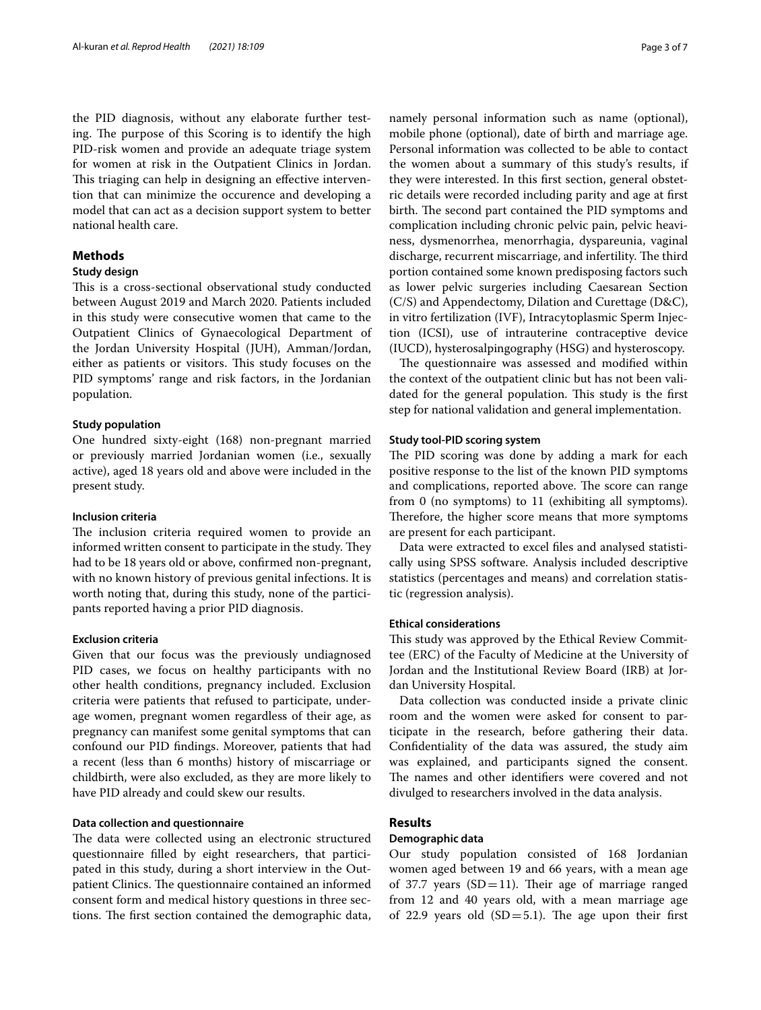the PID diagnosis, without any elaborate further testing. The purpose of this Scoring is to identify the high PID-risk women and provide an adequate triage system for women at risk in the Outpatient Clinics in Jordan. This triaging can help in designing an effective intervention that can minimize the occurence and developing a model that can act as a decision support system to better national health care.

# **Methods**

# **Study design**

This is a cross-sectional observational study conducted between August 2019 and March 2020. Patients included in this study were consecutive women that came to the Outpatient Clinics of Gynaecological Department of the Jordan University Hospital (JUH), Amman/Jordan, either as patients or visitors. This study focuses on the PID symptoms' range and risk factors, in the Jordanian population.

## **Study population**

One hundred sixty-eight (168) non-pregnant married or previously married Jordanian women (i.e., sexually active), aged 18 years old and above were included in the present study.

# **Inclusion criteria**

The inclusion criteria required women to provide an informed written consent to participate in the study. They had to be 18 years old or above, confrmed non-pregnant, with no known history of previous genital infections. It is worth noting that, during this study, none of the participants reported having a prior PID diagnosis.

## **Exclusion criteria**

Given that our focus was the previously undiagnosed PID cases, we focus on healthy participants with no other health conditions, pregnancy included. Exclusion criteria were patients that refused to participate, underage women, pregnant women regardless of their age, as pregnancy can manifest some genital symptoms that can confound our PID fndings. Moreover, patients that had a recent (less than 6 months) history of miscarriage or childbirth, were also excluded, as they are more likely to have PID already and could skew our results.

# **Data collection and questionnaire**

The data were collected using an electronic structured questionnaire flled by eight researchers, that participated in this study, during a short interview in the Outpatient Clinics. The questionnaire contained an informed consent form and medical history questions in three sections. The first section contained the demographic data, namely personal information such as name (optional), mobile phone (optional), date of birth and marriage age. Personal information was collected to be able to contact the women about a summary of this study's results, if they were interested. In this frst section, general obstetric details were recorded including parity and age at frst birth. The second part contained the PID symptoms and complication including chronic pelvic pain, pelvic heaviness, dysmenorrhea, menorrhagia, dyspareunia, vaginal discharge, recurrent miscarriage, and infertility. The third portion contained some known predisposing factors such as lower pelvic surgeries including Caesarean Section (C/S) and Appendectomy, Dilation and Curettage (D&C), in vitro fertilization (IVF), Intracytoplasmic Sperm Injection (ICSI), use of intrauterine contraceptive device (IUCD), hysterosalpingography (HSG) and hysteroscopy.

The questionnaire was assessed and modified within the context of the outpatient clinic but has not been validated for the general population. This study is the first step for national validation and general implementation.

## **Study tool‑PID scoring system**

The PID scoring was done by adding a mark for each positive response to the list of the known PID symptoms and complications, reported above. The score can range from 0 (no symptoms) to 11 (exhibiting all symptoms). Therefore, the higher score means that more symptoms are present for each participant.

Data were extracted to excel fles and analysed statistically using SPSS software. Analysis included descriptive statistics (percentages and means) and correlation statistic (regression analysis).

#### **Ethical considerations**

This study was approved by the Ethical Review Committee (ERC) of the Faculty of Medicine at the University of Jordan and the Institutional Review Board (IRB) at Jordan University Hospital.

Data collection was conducted inside a private clinic room and the women were asked for consent to participate in the research, before gathering their data. Confdentiality of the data was assured, the study aim was explained, and participants signed the consent. The names and other identifiers were covered and not divulged to researchers involved in the data analysis.

# **Results**

#### **Demographic data**

Our study population consisted of 168 Jordanian women aged between 19 and 66 years, with a mean age of 37.7 years  $(SD=11)$ . Their age of marriage ranged from 12 and 40 years old, with a mean marriage age of 22.9 years old  $(SD=5.1)$ . The age upon their first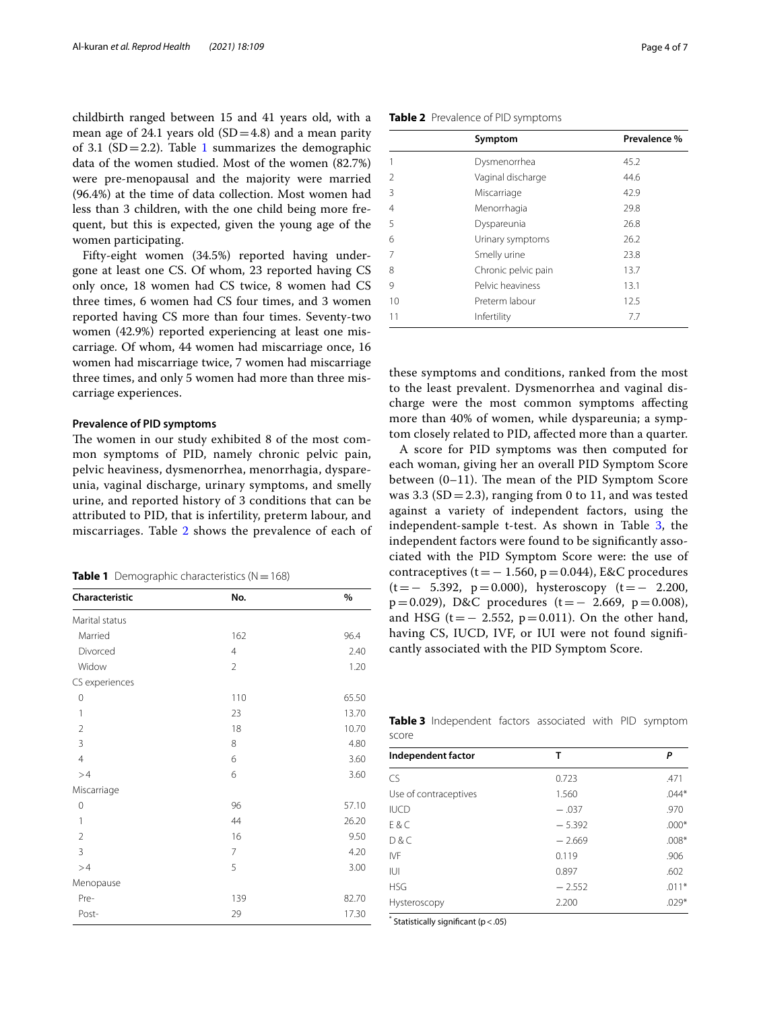childbirth ranged between 15 and 41 years old, with a mean age of 24.1 years old  $(SD=4.8)$  and a mean parity of 3.[1](#page-3-0) (SD = 2.2). Table 1 summarizes the demographic data of the women studied. Most of the women (82.7%) were pre-menopausal and the majority were married (96.4%) at the time of data collection. Most women had less than 3 children, with the one child being more frequent, but this is expected, given the young age of the women participating.

Fifty-eight women (34.5%) reported having undergone at least one CS. Of whom, 23 reported having CS only once, 18 women had CS twice, 8 women had CS three times, 6 women had CS four times, and 3 women reported having CS more than four times. Seventy-two women (42.9%) reported experiencing at least one miscarriage. Of whom, 44 women had miscarriage once, 16 women had miscarriage twice, 7 women had miscarriage three times, and only 5 women had more than three miscarriage experiences.

# **Prevalence of PID symptoms**

The women in our study exhibited 8 of the most common symptoms of PID, namely chronic pelvic pain, pelvic heaviness, dysmenorrhea, menorrhagia, dyspareunia, vaginal discharge, urinary symptoms, and smelly urine, and reported history of 3 conditions that can be attributed to PID, that is infertility, preterm labour, and miscarriages. Table [2](#page-3-1) shows the prevalence of each of

<span id="page-3-0"></span>

|  | <b>Table 1</b> Demographic characteristics ( $N = 168$ ) |  |  |  |
|--|----------------------------------------------------------|--|--|--|
|--|----------------------------------------------------------|--|--|--|

| No.            | %     |
|----------------|-------|
|                |       |
| 162            | 96.4  |
| $\overline{4}$ | 2.40  |
| $\overline{2}$ | 1.20  |
|                |       |
| 110            | 65.50 |
| 23             | 13.70 |
| 18             | 10.70 |
| 8              | 4.80  |
| 6              | 3.60  |
| 6              | 3.60  |
|                |       |
| 96             | 57.10 |
| 44             | 26.20 |
| 16             | 9.50  |
| $\overline{7}$ | 4.20  |
| 5              | 3.00  |
|                |       |
| 139            | 82.70 |
| 29             | 17.30 |
|                |       |

<span id="page-3-1"></span>**Table 2** Prevalence of PID symptoms

|               | Symptom             | Prevalence % |
|---------------|---------------------|--------------|
|               | Dysmenorrhea        | 45.2         |
| $\mathcal{P}$ | Vaginal discharge   | 44.6         |
| 3             | Miscarriage         | 42.9         |
| 4             | Menorrhagia         | 29.8         |
| 5             | Dyspareunia         | 26.8         |
| 6             | Urinary symptoms    | 26.2         |
|               | Smelly urine        | 23.8         |
| 8             | Chronic pelvic pain | 13.7         |
| 9             | Pelvic heaviness    | 13.1         |
| 10            | Preterm labour      | 12.5         |
| 11            | Infertility         | 7.7          |

these symptoms and conditions, ranked from the most to the least prevalent. Dysmenorrhea and vaginal discharge were the most common symptoms afecting more than 40% of women, while dyspareunia; a symptom closely related to PID, afected more than a quarter.

A score for PID symptoms was then computed for each woman, giving her an overall PID Symptom Score between  $(0-11)$ . The mean of the PID Symptom Score was 3.3 (SD = 2.3), ranging from 0 to 11, and was tested against a variety of independent factors, using the independent-sample t-test. As shown in Table [3](#page-3-2), the independent factors were found to be signifcantly associated with the PID Symptom Score were: the use of contraceptives ( $t=-1.560$ ,  $p=0.044$ ), E&C procedures  $(t=- 5.392, p=0.000)$ , hysteroscopy  $(t=- 2.200,$  $p=0.029$ ), D&C procedures (t= $-2.669$ ,  $p=0.008$ ), and HSG (t =  $-$  2.552, p = 0.011). On the other hand, having CS, IUCD, IVF, or IUI were not found signifcantly associated with the PID Symptom Score.

<span id="page-3-2"></span>**Table 3** Independent factors associated with PID symptom score

| Independent factor    | т        | P       |  |
|-----------------------|----------|---------|--|
| CS                    | 0.723    | .471    |  |
| Use of contraceptives | 1.560    | $.044*$ |  |
| <b>IUCD</b>           | $-.037$  | .970    |  |
| FAC                   | $-5.392$ | $.000*$ |  |
| D&C                   | $-2.669$ | $.008*$ |  |
| IVF                   | 0.119    | .906    |  |
| IUI                   | 0.897    | .602    |  |
| <b>HSG</b>            | $-2.552$ | $.011*$ |  |
| Hysteroscopy          | 2.200    | $.029*$ |  |

\* Statistically signifcant (p<.05)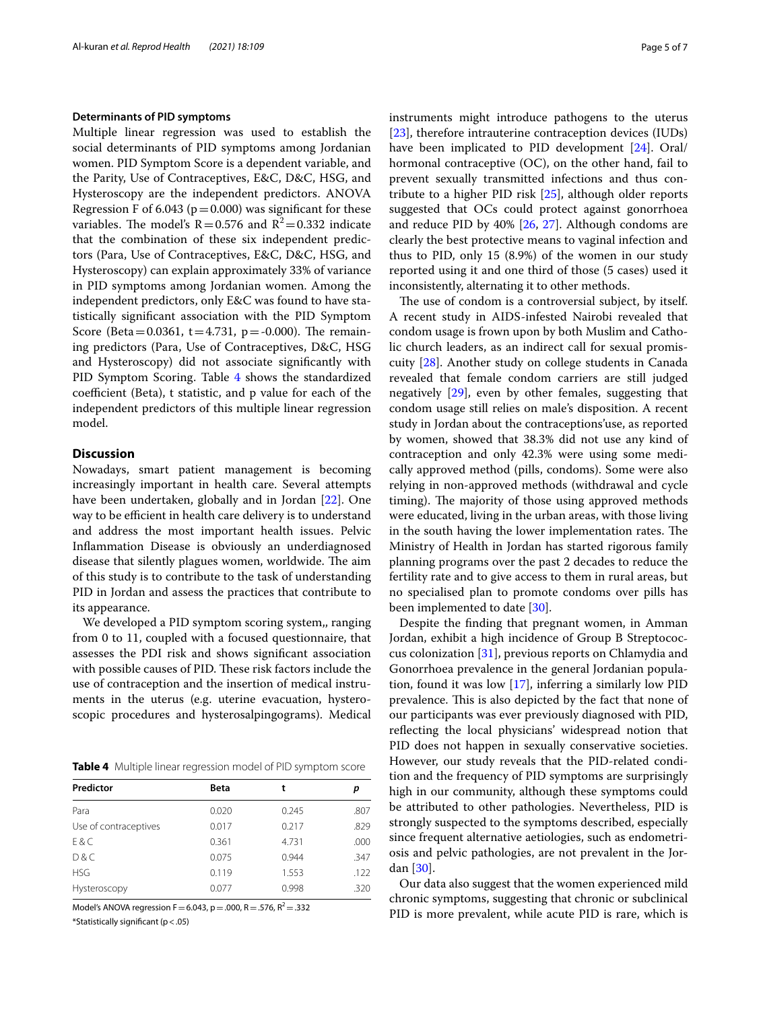#### **Determinants of PID symptoms**

Multiple linear regression was used to establish the social determinants of PID symptoms among Jordanian women. PID Symptom Score is a dependent variable, and the Parity, Use of Contraceptives, E&C, D&C, HSG, and Hysteroscopy are the independent predictors. ANOVA Regression F of 6.043 ( $p=0.000$ ) was significant for these variables. The model's  $R = 0.576$  and  $R^2 = 0.332$  indicate that the combination of these six independent predictors (Para, Use of Contraceptives, E&C, D&C, HSG, and Hysteroscopy) can explain approximately 33% of variance in PID symptoms among Jordanian women. Among the independent predictors, only E&C was found to have statistically signifcant association with the PID Symptom Score (Beta=0.0361, t=4.731, p=-0.000). The remaining predictors (Para, Use of Contraceptives, D&C, HSG and Hysteroscopy) did not associate signifcantly with PID Symptom Scoring. Table [4](#page-4-0) shows the standardized coefficient (Beta), t statistic, and p value for each of the independent predictors of this multiple linear regression model.

# **Discussion**

Nowadays, smart patient management is becoming increasingly important in health care. Several attempts have been undertaken, globally and in Jordan [\[22](#page-6-17)]. One way to be efficient in health care delivery is to understand and address the most important health issues. Pelvic Infammation Disease is obviously an underdiagnosed disease that silently plagues women, worldwide. The aim of this study is to contribute to the task of understanding PID in Jordan and assess the practices that contribute to its appearance.

We developed a PID symptom scoring system,, ranging from 0 to 11, coupled with a focused questionnaire, that assesses the PDI risk and shows signifcant association with possible causes of PID. These risk factors include the use of contraception and the insertion of medical instruments in the uterus (e.g. uterine evacuation, hysteroscopic procedures and hysterosalpingograms). Medical

<span id="page-4-0"></span>**Table 4** Multiple linear regression model of PID symptom score

| Predictor             | <b>Beta</b> | t     | р    |
|-----------------------|-------------|-------|------|
| Para                  | 0.020       | 0.245 | .807 |
| Use of contraceptives | 0.017       | 0.217 | .829 |
| E & C                 | 0.361       | 4.731 | .000 |
| D&C                   | 0.075       | 0.944 | .347 |
| <b>HSG</b>            | 0.119       | 1.553 | .122 |
| Hysteroscopy          | 0.077       | 0.998 | .320 |

Model's ANOVA regression F = 6.043, p = .000, R = .576, R<sup>2</sup> = .332 \*Statistically signifcant (p<.05)

instruments might introduce pathogens to the uterus [[23\]](#page-6-18), therefore intrauterine contraception devices (IUDs) have been implicated to PID development [\[24](#page-6-19)]. Oral/ hormonal contraceptive (OC), on the other hand, fail to prevent sexually transmitted infections and thus contribute to a higher PID risk [\[25\]](#page-6-20), although older reports suggested that OCs could protect against gonorrhoea and reduce PID by  $40\%$  [ $26$ ,  $27$ ]. Although condoms are clearly the best protective means to vaginal infection and thus to PID, only 15 (8.9%) of the women in our study reported using it and one third of those (5 cases) used it inconsistently, alternating it to other methods.

The use of condom is a controversial subject, by itself. A recent study in AIDS-infested Nairobi revealed that condom usage is frown upon by both Muslim and Catholic church leaders, as an indirect call for sexual promiscuity [\[28](#page-6-23)]. Another study on college students in Canada revealed that female condom carriers are still judged negatively [\[29](#page-6-24)], even by other females, suggesting that condom usage still relies on male's disposition. A recent study in Jordan about the contraceptions'use, as reported by women, showed that 38.3% did not use any kind of contraception and only 42.3% were using some medically approved method (pills, condoms). Some were also relying in non-approved methods (withdrawal and cycle timing). The majority of those using approved methods were educated, living in the urban areas, with those living in the south having the lower implementation rates. The Ministry of Health in Jordan has started rigorous family planning programs over the past 2 decades to reduce the fertility rate and to give access to them in rural areas, but no specialised plan to promote condoms over pills has been implemented to date [[30\]](#page-6-25).

Despite the fnding that pregnant women, in Amman Jordan, exhibit a high incidence of Group B Streptococcus colonization [[31\]](#page-6-26), previous reports on Chlamydia and Gonorrhoea prevalence in the general Jordanian population, found it was low [[17\]](#page-6-12), inferring a similarly low PID prevalence. This is also depicted by the fact that none of our participants was ever previously diagnosed with PID, refecting the local physicians' widespread notion that PID does not happen in sexually conservative societies. However, our study reveals that the PID-related condition and the frequency of PID symptoms are surprisingly high in our community, although these symptoms could be attributed to other pathologies. Nevertheless, PID is strongly suspected to the symptoms described, especially since frequent alternative aetiologies, such as endometriosis and pelvic pathologies, are not prevalent in the Jordan [\[30](#page-6-25)].

Our data also suggest that the women experienced mild chronic symptoms, suggesting that chronic or subclinical PID is more prevalent, while acute PID is rare, which is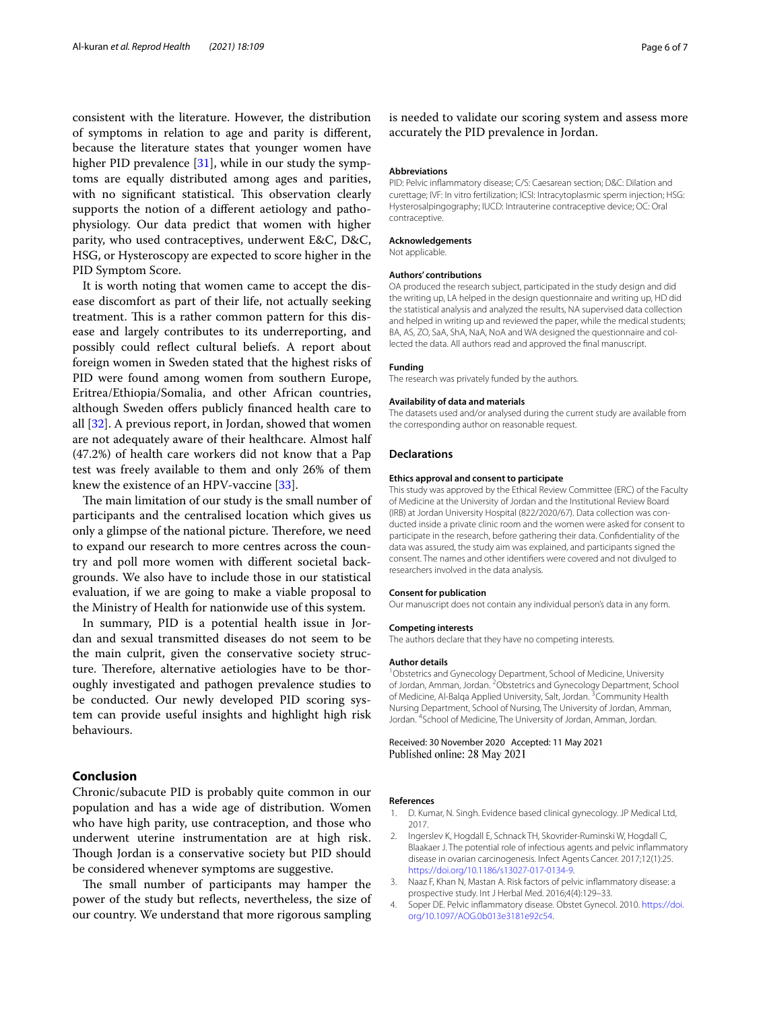consistent with the literature. However, the distribution of symptoms in relation to age and parity is diferent, because the literature states that younger women have higher PID prevalence [\[31](#page-6-26)], while in our study the symptoms are equally distributed among ages and parities, with no significant statistical. This observation clearly supports the notion of a diferent aetiology and pathophysiology. Our data predict that women with higher parity, who used contraceptives, underwent E&C, D&C, HSG, or Hysteroscopy are expected to score higher in the PID Symptom Score.

It is worth noting that women came to accept the disease discomfort as part of their life, not actually seeking treatment. This is a rather common pattern for this disease and largely contributes to its underreporting, and possibly could refect cultural beliefs. A report about foreign women in Sweden stated that the highest risks of PID were found among women from southern Europe, Eritrea/Ethiopia/Somalia, and other African countries, although Sweden offers publicly financed health care to all [[32\]](#page-6-27). A previous report, in Jordan, showed that women are not adequately aware of their healthcare. Almost half (47.2%) of health care workers did not know that a Pap test was freely available to them and only 26% of them knew the existence of an HPV-vaccine [\[33](#page-6-28)].

The main limitation of our study is the small number of participants and the centralised location which gives us only a glimpse of the national picture. Therefore, we need to expand our research to more centres across the country and poll more women with diferent societal backgrounds. We also have to include those in our statistical evaluation, if we are going to make a viable proposal to the Ministry of Health for nationwide use of this system.

In summary, PID is a potential health issue in Jordan and sexual transmitted diseases do not seem to be the main culprit, given the conservative society structure. Therefore, alternative aetiologies have to be thoroughly investigated and pathogen prevalence studies to be conducted. Our newly developed PID scoring system can provide useful insights and highlight high risk behaviours.

### **Conclusion**

Chronic/subacute PID is probably quite common in our population and has a wide age of distribution. Women who have high parity, use contraception, and those who underwent uterine instrumentation are at high risk. Though Jordan is a conservative society but PID should be considered whenever symptoms are suggestive.

The small number of participants may hamper the power of the study but refects, nevertheless, the size of our country. We understand that more rigorous sampling

is needed to validate our scoring system and assess more accurately the PID prevalence in Jordan.

### **Abbreviations**

PID: Pelvic infammatory disease; C/S: Caesarean section; D&C: Dilation and curettage; IVF: In vitro fertilization; ICSI: Intracytoplasmic sperm injection; HSG: Hysterosalpingography; IUCD: Intrauterine contraceptive device; OC: Oral contraceptive.

#### **Acknowledgements**

Not applicable.

#### **Authors' contributions**

OA produced the research subject, participated in the study design and did the writing up, LA helped in the design questionnaire and writing up, HD did the statistical analysis and analyzed the results, NA supervised data collection and helped in writing up and reviewed the paper, while the medical students; BA, AS, ZO, SaA, ShA, NaA, NoA and WA designed the questionnaire and collected the data. All authors read and approved the fnal manuscript.

#### **Funding**

The research was privately funded by the authors.

#### **Availability of data and materials**

The datasets used and/or analysed during the current study are available from the corresponding author on reasonable request.

#### **Declarations**

#### **Ethics approval and consent to participate**

This study was approved by the Ethical Review Committee (ERC) of the Faculty of Medicine at the University of Jordan and the Institutional Review Board (IRB) at Jordan University Hospital (822/2020/67). Data collection was conducted inside a private clinic room and the women were asked for consent to participate in the research, before gathering their data. Confdentiality of the data was assured, the study aim was explained, and participants signed the consent. The names and other identifers were covered and not divulged to researchers involved in the data analysis.

#### **Consent for publication**

Our manuscript does not contain any individual person's data in any form.

#### **Competing interests**

The authors declare that they have no competing interests.

#### **Author details**

<sup>1</sup> Obstetrics and Gynecology Department, School of Medicine, University of Jordan, Amman, Jordan. <sup>2</sup> Obstetrics and Gynecology Department, School of Medicine, Al-Balqa Applied University, Salt, Jordan. <sup>3</sup> Community Health Nursing Department, School of Nursing, The University of Jordan, Amman, Jordan. 4 School of Medicine, The University of Jordan, Amman, Jordan.

#### Received: 30 November 2020 Accepted: 11 May 2021 Published online: 28 May 2021

## **References**

- <span id="page-5-0"></span>1. D. Kumar, N. Singh. Evidence based clinical gynecology. JP Medical Ltd, 2017.
- <span id="page-5-1"></span>2. Ingerslev K, Hogdall E, Schnack TH, Skovrider-Ruminski W, Hogdall C, Blaakaer J. The potential role of infectious agents and pelvic infammatory disease in ovarian carcinogenesis. Infect Agents Cancer. 2017;12(1):25. [https://doi.org/10.1186/s13027-017-0134-9.](https://doi.org/10.1186/s13027-017-0134-9)
- <span id="page-5-2"></span>3. Naaz F, Khan N, Mastan A. Risk factors of pelvic infammatory disease: a prospective study. Int J Herbal Med. 2016;4(4):129–33.
- <span id="page-5-3"></span>4. Soper DE. Pelvic infammatory disease. Obstet Gynecol. 2010. [https://doi.](https://doi.org/10.1097/AOG.0b013e3181e92c54) [org/10.1097/AOG.0b013e3181e92c54](https://doi.org/10.1097/AOG.0b013e3181e92c54).